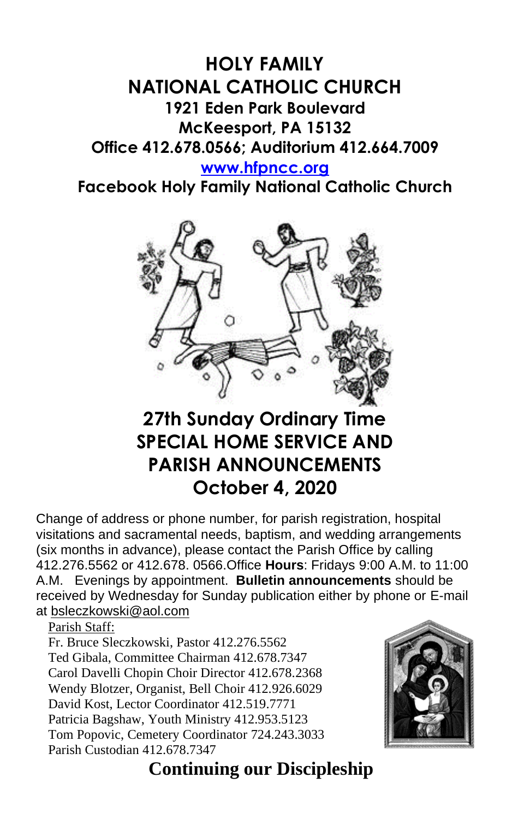# **HOLY FAMILY NATIONAL CATHOLIC CHURCH 1921 Eden Park Boulevard McKeesport, PA 15132 Office 412.678.0566; Auditorium 412.664.7009**

#### **[www.hfpncc.org](http://www.hfpncc.org/)**

**Facebook Holy Family National Catholic Church**



# **27th Sunday Ordinary Time SPECIAL HOME SERVICE AND PARISH ANNOUNCEMENTS October 4, 2020**

Change of address or phone number, for parish registration, hospital visitations and sacramental needs, baptism, and wedding arrangements (six months in advance), please contact the Parish Office by calling 412.276.5562 or 412.678. 0566.Office **Hours**: Fridays 9:00 A.M. to 11:00 A.M. Evenings by appointment. **Bulletin announcements** should be received by Wednesday for Sunday publication either by phone or E-mail at [bsleczkowski@aol.com](mailto:bsleczkowski@aol.com)

Parish Staff:

Fr. Bruce Sleczkowski, Pastor 412.276.5562 Ted Gibala, Committee Chairman 412.678.7347 Carol Davelli Chopin Choir Director 412.678.2368 Wendy Blotzer, Organist, Bell Choir 412.926.6029 David Kost, Lector Coordinator 412.519.7771 Patricia Bagshaw, Youth Ministry 412.953.5123 Tom Popovic, Cemetery Coordinator 724.243.3033 Parish Custodian 412.678.7347



# **Continuing our Discipleship**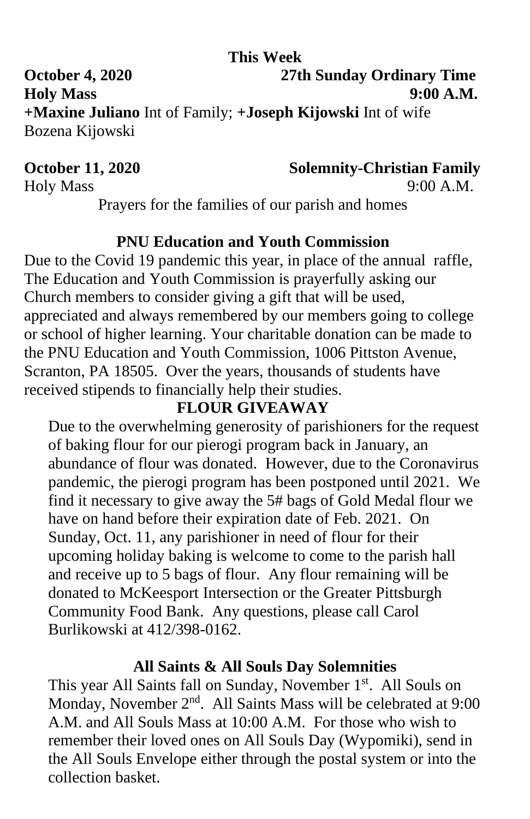## **This Week**

**October 4, 2020 27th Sunday Ordinary Time Holy Mass 9:00 A.M. +Maxine Juliano** Int of Family; **+Joseph Kijowski** Int of wife Bozena Kijowski

**October 11, 2020 Solemnity-Christian Family**

Holy Mass 9:00 A.M.

Prayers for the families of our parish and homes

## **PNU Education and Youth Commission**

Due to the Covid 19 pandemic this year, in place of the annual raffle, The Education and Youth Commission is prayerfully asking our Church members to consider giving a gift that will be used, appreciated and always remembered by our members going to college or school of higher learning. Your charitable donation can be made to the PNU Education and Youth Commission, 1006 Pittston Avenue, Scranton, PA 18505. Over the years, thousands of students have received stipends to financially help their studies.

# **FLOUR GIVEAWAY**

Due to the overwhelming generosity of parishioners for the request of baking flour for our pierogi program back in January, an abundance of flour was donated. However, due to the Coronavirus pandemic, the pierogi program has been postponed until 2021. We find it necessary to give away the 5# bags of Gold Medal flour we have on hand before their expiration date of Feb. 2021. On Sunday, Oct. 11, any parishioner in need of flour for their upcoming holiday baking is welcome to come to the parish hall and receive up to 5 bags of flour. Any flour remaining will be donated to McKeesport Intersection or the Greater Pittsburgh Community Food Bank. Any questions, please call Carol Burlikowski at 412/398-0162.

#### **All Saints & All Souls Day Solemnities**

This year All Saints fall on Sunday, November 1<sup>st</sup>. All Souls on Monday, November 2<sup>nd</sup>. All Saints Mass will be celebrated at 9:00 A.M. and All Souls Mass at 10:00 A.M. For those who wish to remember their loved ones on All Souls Day (Wypomiki), send in the All Souls Envelope either through the postal system or into the collection basket.